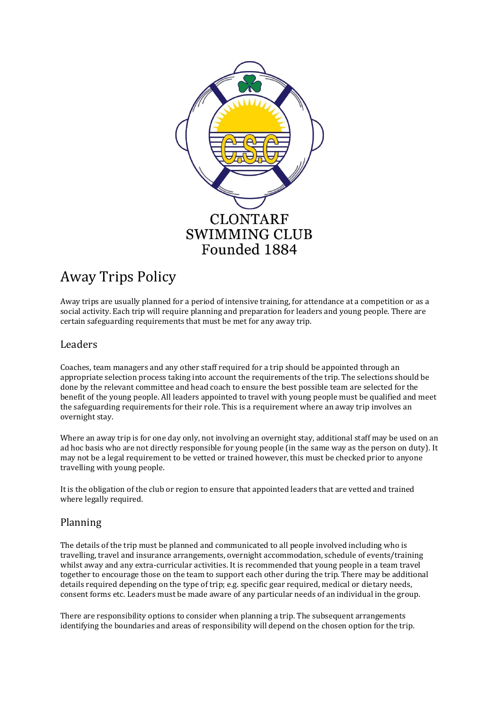

# Away Trips Policy

Away trips are usually planned for a period of intensive training, for attendance at a competition or as a social activity. Each trip will require planning and preparation for leaders and young people. There are certain safeguarding requirements that must be met for any away trip.

## Leaders

Coaches, team managers and any other staff required for a trip should be appointed through an appropriate selection process taking into account the requirements of the trip. The selections should be done by the relevant committee and head coach to ensure the best possible team are selected for the benefit of the young people. All leaders appointed to travel with young people must be qualified and meet the safeguarding requirements for their role. This is a requirement where an away trip involves an overnight stay.

Where an away trip is for one day only, not involving an overnight stay, additional staff may be used on an ad hoc basis who are not directly responsible for young people (in the same way as the person on duty). It may not be a legal requirement to be vetted or trained however, this must be checked prior to anyone travelling with young people.

It is the obligation of the club or region to ensure that appointed leaders that are vetted and trained where legally required.

## Planning

The details of the trip must be planned and communicated to all people involved including who is travelling, travel and insurance arrangements, overnight accommodation, schedule of events/training whilst away and any extra-curricular activities. It is recommended that young people in a team travel together to encourage those on the team to support each other during the trip. There may be additional details required depending on the type of trip; e.g. specific gear required, medical or dietary needs, consent forms etc. Leaders must be made aware of any particular needs of an individual in the group.

There are responsibility options to consider when planning a trip. The subsequent arrangements identifying the boundaries and areas of responsibility will depend on the chosen option for the trip.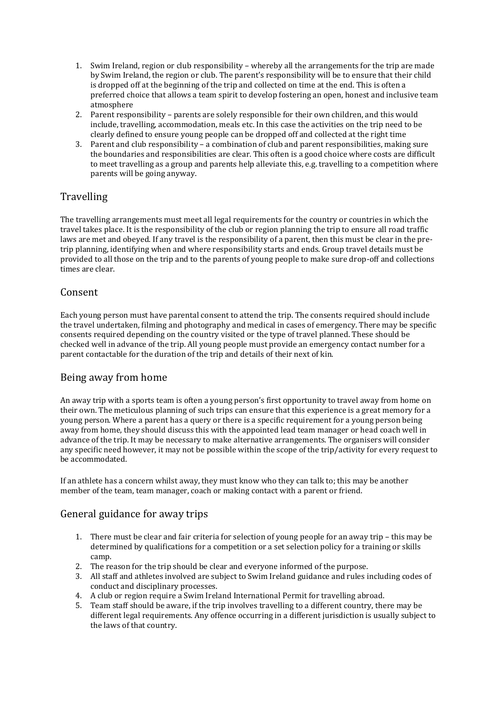- 1. Swim Ireland, region or club responsibility whereby all the arrangements for the trip are made by Swim Ireland, the region or club. The parent's responsibility will be to ensure that their child is dropped off at the beginning of the trip and collected on time at the end. This is often a preferred choice that allows a team spirit to develop fostering an open, honest and inclusive team atmosphere
- 2. Parent responsibility parents are solely responsible for their own children, and this would include, travelling, accommodation, meals etc. In this case the activities on the trip need to be clearly defined to ensure young people can be dropped off and collected at the right time
- 3. Parent and club responsibility a combination of club and parent responsibilities, making sure the boundaries and responsibilities are clear. This often is a good choice where costs are difficult to meet travelling as a group and parents help alleviate this, e.g. travelling to a competition where parents will be going anyway.

# **Travelling**

The travelling arrangements must meet all legal requirements for the country or countries in which the travel takes place. It is the responsibility of the club or region planning the trip to ensure all road traffic laws are met and obeyed. If any travel is the responsibility of a parent, then this must be clear in the pretrip planning, identifying when and where responsibility starts and ends. Group travel details must be provided to all those on the trip and to the parents of young people to make sure drop-off and collections times are clear.

## Consent

Each young person must have parental consent to attend the trip. The consents required should include the travel undertaken, filming and photography and medical in cases of emergency. There may be specific consents required depending on the country visited or the type of travel planned. These should be checked well in advance of the trip. All young people must provide an emergency contact number for a parent contactable for the duration of the trip and details of their next of kin.

## Being away from home

An away trip with a sports team is often a young person's first opportunity to travel away from home on their own. The meticulous planning of such trips can ensure that this experience is a great memory for a young person. Where a parent has a query or there is a specific requirement for a young person being away from home, they should discuss this with the appointed lead team manager or head coach well in advance of the trip. It may be necessary to make alternative arrangements. The organisers will consider any specific need however, it may not be possible within the scope of the trip/activity for every request to be accommodated.

If an athlete has a concern whilst away, they must know who they can talk to; this may be another member of the team, team manager, coach or making contact with a parent or friend.

## General guidance for away trips

- 1. There must be clear and fair criteria for selection of young people for an away trip this may be determined by qualifications for a competition or a set selection policy for a training or skills camp.
- 2. The reason for the trip should be clear and everyone informed of the purpose.
- 3. All staff and athletes involved are subject to Swim Ireland guidance and rules including codes of conduct and disciplinary processes.
- 4. A club or region require a Swim Ireland International Permit for travelling abroad.
- 5. Team staff should be aware, if the trip involves travelling to a different country, there may be different legal requirements. Any offence occurring in a different jurisdiction is usually subject to the laws of that country.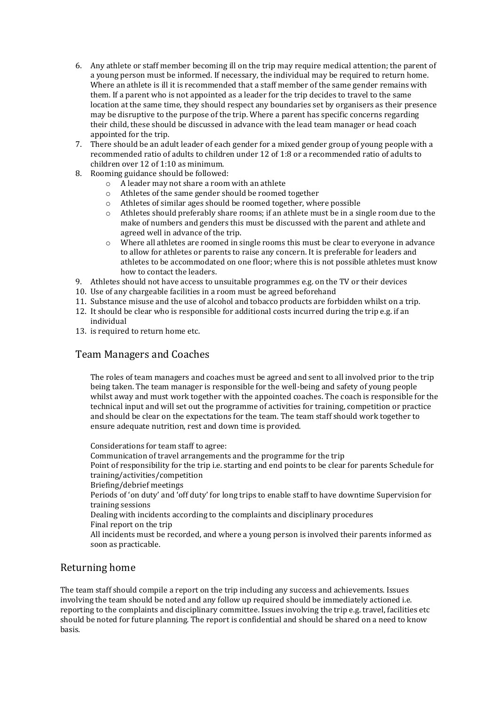- 6. Any athlete or staff member becoming ill on the trip may require medical attention; the parent of a young person must be informed. If necessary, the individual may be required to return home. Where an athlete is ill it is recommended that a staff member of the same gender remains with them. If a parent who is not appointed as a leader for the trip decides to travel to the same location at the same time, they should respect any boundaries set by organisers as their presence may be disruptive to the purpose of the trip. Where a parent has specific concerns regarding their child, these should be discussed in advance with the lead team manager or head coach appointed for the trip.
- 7. There should be an adult leader of each gender for a mixed gender group of young people with a recommended ratio of adults to children under 12 of 1:8 or a recommended ratio of adults to children over 12 of 1:10 as minimum.
- 8. Rooming guidance should be followed:
	- o A leader may not share a room with an athlete
	- o Athletes of the same gender should be roomed together
	- o Athletes of similar ages should be roomed together, where possible
	- o Athletes should preferably share rooms; if an athlete must be in a single room due to the make of numbers and genders this must be discussed with the parent and athlete and agreed well in advance of the trip.
	- o Where all athletes are roomed in single rooms this must be clear to everyone in advance to allow for athletes or parents to raise any concern. It is preferable for leaders and athletes to be accommodated on one floor; where this is not possible athletes must know how to contact the leaders.
- 9. Athletes should not have access to unsuitable programmes e.g. on the TV or their devices
- 10. Use of any chargeable facilities in a room must be agreed beforehand
- 11. Substance misuse and the use of alcohol and tobacco products are forbidden whilst on a trip.
- 12. It should be clear who is responsible for additional costs incurred during the trip e.g. if an individual
- 13. is required to return home etc.

### Team Managers and Coaches

The roles of team managers and coaches must be agreed and sent to all involved prior to the trip being taken. The team manager is responsible for the well-being and safety of young people whilst away and must work together with the appointed coaches. The coach is responsible for the technical input and will set out the programme of activities for training, competition or practice and should be clear on the expectations for the team. The team staff should work together to ensure adequate nutrition, rest and down time is provided.

Considerations for team staff to agree: Communication of travel arrangements and the programme for the trip Point of responsibility for the trip i.e. starting and end points to be clear for parents Schedule for training/activities/competition Briefing/debrief meetings Periods of 'on duty' and 'off duty' for long trips to enable staff to have downtime Supervision for training sessions Dealing with incidents according to the complaints and disciplinary procedures Final report on the trip All incidents must be recorded, and where a young person is involved their parents informed as soon as practicable.

### Returning home

The team staff should compile a report on the trip including any success and achievements. Issues involving the team should be noted and any follow up required should be immediately actioned i.e. reporting to the complaints and disciplinary committee. Issues involving the trip e.g. travel, facilities etc should be noted for future planning. The report is confidential and should be shared on a need to know basis.